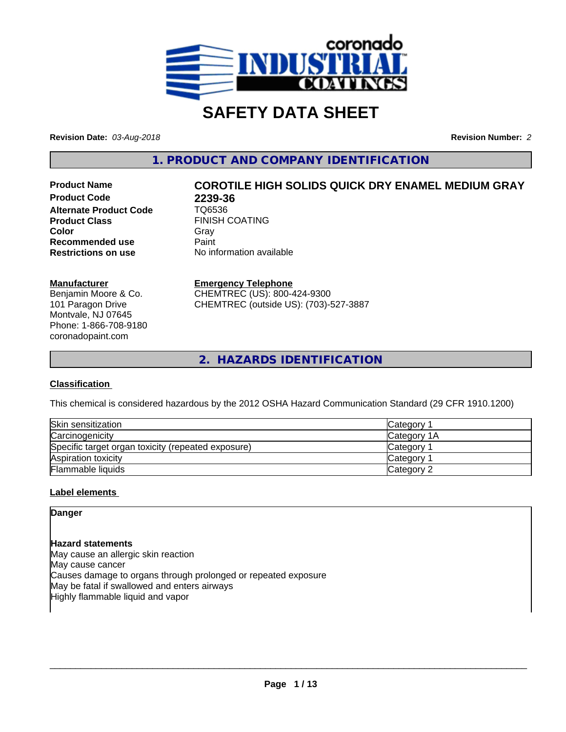

# **SAFETY DATA SHEET**

**Revision Date:** *03-Aug-2018* **Revision Number:** *2*

**1. PRODUCT AND COMPANY IDENTIFICATION**

**Product Code 2239-36<br>Alternate Product Code 7Q6536 Alternate Product Code**<br>Product Class **Color** Gray Gray **Recommended use Caint Restrictions on use** No information available

# **Product Name COROTILE HIGH SOLIDS QUICK DRY ENAMEL MEDIUM GRAY**

**FINISH COATING** 

## **Manufacturer**

Benjamin Moore & Co. 101 Paragon Drive Montvale, NJ 07645 Phone: 1-866-708-9180 coronadopaint.com

**Emergency Telephone** CHEMTREC (US): 800-424-9300 CHEMTREC (outside US): (703)-527-3887

**2. HAZARDS IDENTIFICATION**

## **Classification**

This chemical is considered hazardous by the 2012 OSHA Hazard Communication Standard (29 CFR 1910.1200)

| Skin sensitization                                 | Category              |  |
|----------------------------------------------------|-----------------------|--|
| Carcinogenicity                                    | <b>Category 1A</b>    |  |
| Specific target organ toxicity (repeated exposure) | Category 1            |  |
| Aspiration toxicity                                | Category <sup>-</sup> |  |
| Flammable liquids                                  | Category 2            |  |

## **Label elements**

**Danger**

## **Hazard statements**

May cause an allergic skin reaction May cause cancer Causes damage to organs through prolonged or repeated exposure May be fatal if swallowed and enters airways Highly flammable liquid and vapor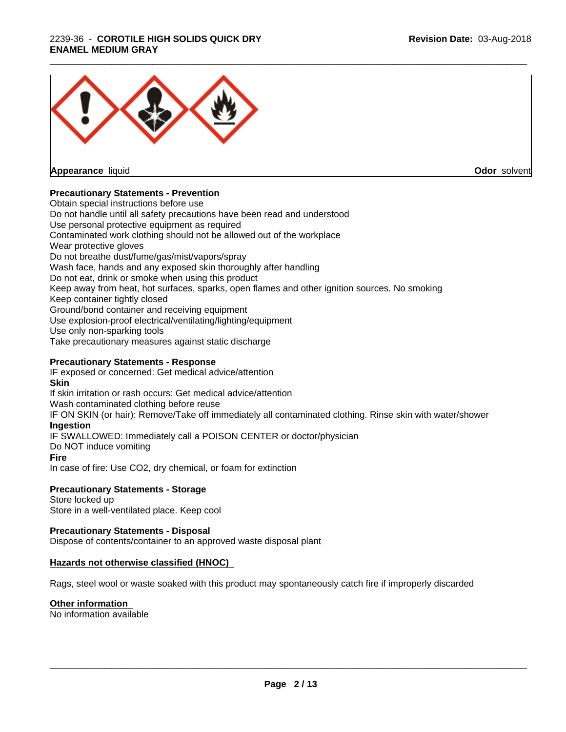## 2239-36 - **COROTILE HIGH SOLIDS QUICK DRY ENAMEL MEDIUM GRAY**



**Appearance** liquid

**Odor** solvent

## **Precautionary Statements - Prevention**

Obtain special instructions before use Do not handle until all safety precautions have been read and understood Use personal protective equipment as required Contaminated work clothing should not be allowed out of the workplace Wear protective gloves Do not breathe dust/fume/gas/mist/vapors/spray Wash face, hands and any exposed skin thoroughly after handling Do not eat, drink or smoke when using this product Keep away from heat, hot surfaces, sparks, open flames and other ignition sources. No smoking Keep container tightly closed Ground/bond container and receiving equipment Use explosion-proof electrical/ventilating/lighting/equipment Use only non-sparking tools Take precautionary measures against static discharge

## **Precautionary Statements - Response**

IF exposed or concerned: Get medical advice/attention **Skin** If skin irritation or rash occurs: Get medical advice/attention Wash contaminated clothing before reuse IF ON SKIN (or hair): Remove/Take off immediately all contaminated clothing. Rinse skin with water/shower **Ingestion** IF SWALLOWED: Immediately call a POISON CENTER or doctor/physician Do NOT induce vomiting **Fire** In case of fire: Use CO2, dry chemical, or foam for extinction

## **Precautionary Statements - Storage**

Store locked up Store in a well-ventilated place. Keep cool

## **Precautionary Statements - Disposal**

Dispose of contents/container to an approved waste disposal plant

## **Hazards not otherwise classified (HNOC)**

Rags, steel wool or waste soaked with this product may spontaneously catch fire if improperly discarded

## **Other information**

No information available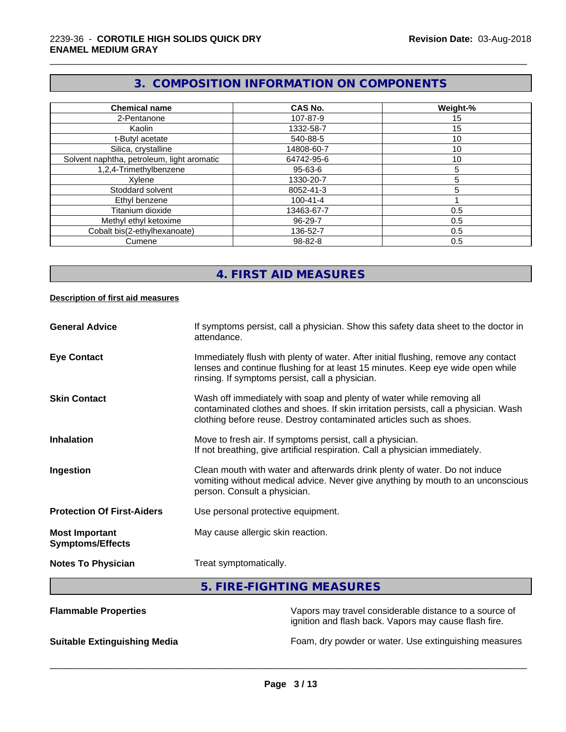## **3. COMPOSITION INFORMATION ON COMPONENTS**

\_\_\_\_\_\_\_\_\_\_\_\_\_\_\_\_\_\_\_\_\_\_\_\_\_\_\_\_\_\_\_\_\_\_\_\_\_\_\_\_\_\_\_\_\_\_\_\_\_\_\_\_\_\_\_\_\_\_\_\_\_\_\_\_\_\_\_\_\_\_\_\_\_\_\_\_\_\_\_\_\_\_\_\_\_\_\_\_\_\_\_\_\_

| <b>Chemical name</b>                       | CAS No.        | Weight-% |
|--------------------------------------------|----------------|----------|
| 2-Pentanone                                | 107-87-9       | 15       |
| Kaolin                                     | 1332-58-7      | 15       |
| t-Butyl acetate                            | 540-88-5       | 10       |
| Silica, crystalline                        | 14808-60-7     | 10       |
| Solvent naphtha, petroleum, light aromatic | 64742-95-6     | 10       |
| 1,2,4-Trimethylbenzene                     | $95 - 63 - 6$  | 5        |
| Xylene                                     | 1330-20-7      | 5        |
| Stoddard solvent                           | 8052-41-3      | 5        |
| Ethyl benzene                              | $100 - 41 - 4$ |          |
| Titanium dioxide                           | 13463-67-7     | 0.5      |
| Methyl ethyl ketoxime                      | 96-29-7        | 0.5      |
| Cobalt bis(2-ethylhexanoate)               | 136-52-7       | 0.5      |
| Cumene                                     | 98-82-8        | 0.5      |

## **4. FIRST AID MEASURES**

#### **Description of first aid measures**

| <b>General Advice</b>                            | If symptoms persist, call a physician. Show this safety data sheet to the doctor in<br>attendance.                                                                                                                                  |  |
|--------------------------------------------------|-------------------------------------------------------------------------------------------------------------------------------------------------------------------------------------------------------------------------------------|--|
| <b>Eye Contact</b>                               | Immediately flush with plenty of water. After initial flushing, remove any contact<br>lenses and continue flushing for at least 15 minutes. Keep eye wide open while<br>rinsing. If symptoms persist, call a physician.             |  |
| <b>Skin Contact</b>                              | Wash off immediately with soap and plenty of water while removing all<br>contaminated clothes and shoes. If skin irritation persists, call a physician. Wash<br>clothing before reuse. Destroy contaminated articles such as shoes. |  |
| <b>Inhalation</b>                                | Move to fresh air. If symptoms persist, call a physician.<br>If not breathing, give artificial respiration. Call a physician immediately.                                                                                           |  |
| Ingestion                                        | Clean mouth with water and afterwards drink plenty of water. Do not induce<br>vomiting without medical advice. Never give anything by mouth to an unconscious<br>person. Consult a physician.                                       |  |
| <b>Protection Of First-Aiders</b>                | Use personal protective equipment.                                                                                                                                                                                                  |  |
| <b>Most Important</b><br><b>Symptoms/Effects</b> | May cause allergic skin reaction.                                                                                                                                                                                                   |  |
| <b>Notes To Physician</b>                        | Treat symptomatically.                                                                                                                                                                                                              |  |

## **5. FIRE-FIGHTING MEASURES**

| <b>Flammable Properties</b>         | Vapors may travel considerable distance to a source of<br>ignition and flash back. Vapors may cause flash fire. |
|-------------------------------------|-----------------------------------------------------------------------------------------------------------------|
| <b>Suitable Extinguishing Media</b> | Foam, dry powder or water. Use extinguishing measures                                                           |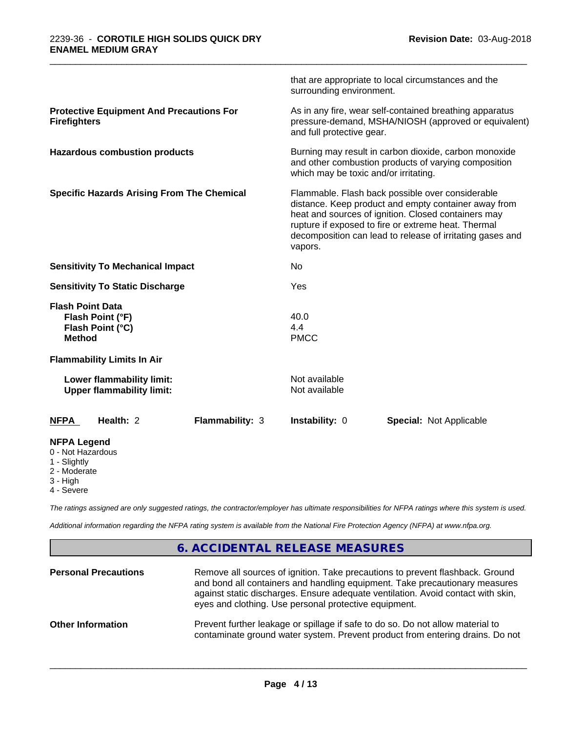|                                                                                     | surrounding environment.                                                                                                                               | that are appropriate to local circumstances and the                                                                                                                                                                                                                                 |  |  |
|-------------------------------------------------------------------------------------|--------------------------------------------------------------------------------------------------------------------------------------------------------|-------------------------------------------------------------------------------------------------------------------------------------------------------------------------------------------------------------------------------------------------------------------------------------|--|--|
| <b>Protective Equipment And Precautions For</b><br><b>Firefighters</b>              | and full protective gear.                                                                                                                              | As in any fire, wear self-contained breathing apparatus<br>pressure-demand, MSHA/NIOSH (approved or equivalent)                                                                                                                                                                     |  |  |
| <b>Hazardous combustion products</b>                                                | Burning may result in carbon dioxide, carbon monoxide<br>and other combustion products of varying composition<br>which may be toxic and/or irritating. |                                                                                                                                                                                                                                                                                     |  |  |
| <b>Specific Hazards Arising From The Chemical</b>                                   | vapors.                                                                                                                                                | Flammable. Flash back possible over considerable<br>distance. Keep product and empty container away from<br>heat and sources of ignition. Closed containers may<br>rupture if exposed to fire or extreme heat. Thermal<br>decomposition can lead to release of irritating gases and |  |  |
| <b>Sensitivity To Mechanical Impact</b>                                             | No                                                                                                                                                     |                                                                                                                                                                                                                                                                                     |  |  |
| <b>Sensitivity To Static Discharge</b>                                              | Yes                                                                                                                                                    |                                                                                                                                                                                                                                                                                     |  |  |
| <b>Flash Point Data</b><br>Flash Point (°F)<br>Flash Point (°C)<br><b>Method</b>    | 40.0<br>4.4<br><b>PMCC</b>                                                                                                                             |                                                                                                                                                                                                                                                                                     |  |  |
| <b>Flammability Limits In Air</b>                                                   |                                                                                                                                                        |                                                                                                                                                                                                                                                                                     |  |  |
| Lower flammability limit:<br><b>Upper flammability limit:</b>                       | Not available<br>Not available                                                                                                                         |                                                                                                                                                                                                                                                                                     |  |  |
| Health: 2<br><b>NFPA</b>                                                            | <b>Flammability: 3</b><br>Instability: 0                                                                                                               | <b>Special: Not Applicable</b>                                                                                                                                                                                                                                                      |  |  |
| <b>NFPA Legend</b><br>0 - Not Hazardous<br>1 - Slightly<br>2 - Moderate<br>3 - High |                                                                                                                                                        |                                                                                                                                                                                                                                                                                     |  |  |

4 - Severe

*The ratings assigned are only suggested ratings, the contractor/employer has ultimate responsibilities for NFPA ratings where this system is used.*

*Additional information regarding the NFPA rating system is available from the National Fire Protection Agency (NFPA) at www.nfpa.org.*

## **6. ACCIDENTAL RELEASE MEASURES**

| <b>Personal Precautions</b> | Remove all sources of ignition. Take precautions to prevent flashback. Ground<br>and bond all containers and handling equipment. Take precautionary measures<br>against static discharges. Ensure adequate ventilation. Avoid contact with skin,<br>eyes and clothing. Use personal protective equipment. |
|-----------------------------|-----------------------------------------------------------------------------------------------------------------------------------------------------------------------------------------------------------------------------------------------------------------------------------------------------------|
| <b>Other Information</b>    | Prevent further leakage or spillage if safe to do so. Do not allow material to<br>contaminate ground water system. Prevent product from entering drains. Do not                                                                                                                                           |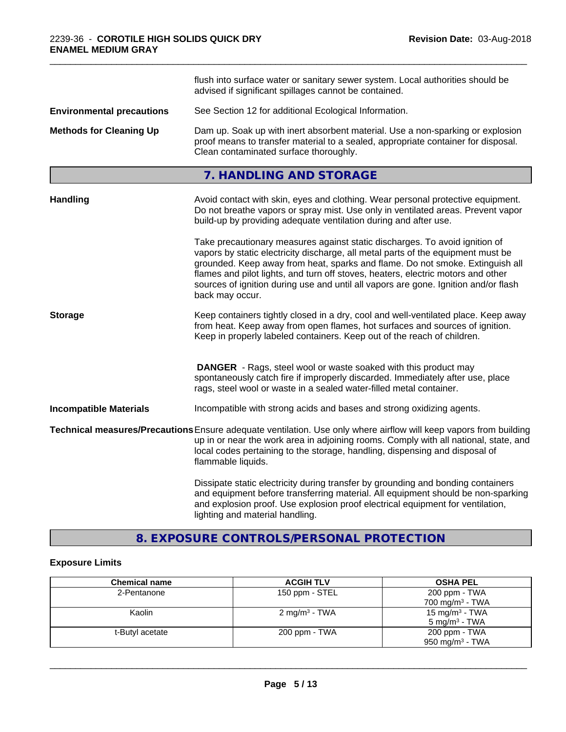|                                  | flush into surface water or sanitary sewer system. Local authorities should be<br>advised if significant spillages cannot be contained.                                                                                                                                                                                                                                                                                                        |  |
|----------------------------------|------------------------------------------------------------------------------------------------------------------------------------------------------------------------------------------------------------------------------------------------------------------------------------------------------------------------------------------------------------------------------------------------------------------------------------------------|--|
| <b>Environmental precautions</b> | See Section 12 for additional Ecological Information.                                                                                                                                                                                                                                                                                                                                                                                          |  |
| <b>Methods for Cleaning Up</b>   | Dam up. Soak up with inert absorbent material. Use a non-sparking or explosion<br>proof means to transfer material to a sealed, appropriate container for disposal.<br>Clean contaminated surface thoroughly.                                                                                                                                                                                                                                  |  |
|                                  | 7. HANDLING AND STORAGE                                                                                                                                                                                                                                                                                                                                                                                                                        |  |
| <b>Handling</b>                  | Avoid contact with skin, eyes and clothing. Wear personal protective equipment.<br>Do not breathe vapors or spray mist. Use only in ventilated areas. Prevent vapor<br>build-up by providing adequate ventilation during and after use.                                                                                                                                                                                                        |  |
|                                  | Take precautionary measures against static discharges. To avoid ignition of<br>vapors by static electricity discharge, all metal parts of the equipment must be<br>grounded. Keep away from heat, sparks and flame. Do not smoke. Extinguish all<br>flames and pilot lights, and turn off stoves, heaters, electric motors and other<br>sources of ignition during use and until all vapors are gone. Ignition and/or flash<br>back may occur. |  |
| <b>Storage</b>                   | Keep containers tightly closed in a dry, cool and well-ventilated place. Keep away<br>from heat. Keep away from open flames, hot surfaces and sources of ignition.<br>Keep in properly labeled containers. Keep out of the reach of children.                                                                                                                                                                                                  |  |
|                                  | <b>DANGER</b> - Rags, steel wool or waste soaked with this product may<br>spontaneously catch fire if improperly discarded. Immediately after use, place<br>rags, steel wool or waste in a sealed water-filled metal container.                                                                                                                                                                                                                |  |
| <b>Incompatible Materials</b>    | Incompatible with strong acids and bases and strong oxidizing agents.                                                                                                                                                                                                                                                                                                                                                                          |  |
|                                  | Technical measures/Precautions Ensure adequate ventilation. Use only where airflow will keep vapors from building<br>up in or near the work area in adjoining rooms. Comply with all national, state, and<br>local codes pertaining to the storage, handling, dispensing and disposal of<br>flammable liquids.                                                                                                                                 |  |
|                                  | Dissipate static electricity during transfer by grounding and bonding containers<br>and equipment before transferring material. All equipment should be non-sparking<br>and explosion proof. Use explosion proof electrical equipment for ventilation,<br>lighting and material handling.                                                                                                                                                      |  |

## **8. EXPOSURE CONTROLS/PERSONAL PROTECTION**

## **Exposure Limits**

| <b>Chemical name</b> | <b>ACGIH TLV</b>          | <b>OSHA PEL</b>            |
|----------------------|---------------------------|----------------------------|
| 2-Pentanone          | 150 ppm - STEL            | 200 ppm - TWA              |
|                      |                           | $700 \text{ mg/m}^3$ - TWA |
| Kaolin               | 2 mg/m <sup>3</sup> - TWA | 15 mg/m <sup>3</sup> - TWA |
|                      |                           | $5 \text{ mg/m}^3$ - TWA   |
| t-Butyl acetate      | 200 ppm - TWA             | 200 ppm - TWA              |
|                      |                           | 950 mg/m $3$ - TWA         |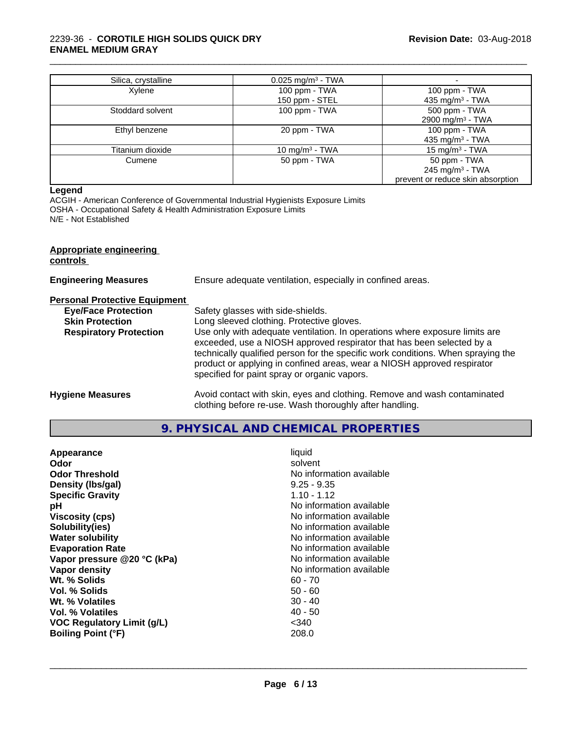## 2239-36 - **COROTILE HIGH SOLIDS QUICK DRY ENAMEL MEDIUM GRAY**

| Silica, crystalline | $0.025$ mg/m <sup>3</sup> - TWA |                                   |
|---------------------|---------------------------------|-----------------------------------|
| Xylene              | 100 ppm - TWA                   | 100 ppm - TWA                     |
|                     | 150 ppm - STEL                  | 435 mg/m <sup>3</sup> - TWA       |
| Stoddard solvent    | 100 ppm - TWA                   | 500 ppm - TWA                     |
|                     |                                 | 2900 mg/m <sup>3</sup> - TWA      |
| Ethyl benzene       | 20 ppm - TWA                    | 100 ppm - TWA                     |
|                     |                                 | 435 mg/m <sup>3</sup> - TWA       |
| Titanium dioxide    | 10 mg/m $3$ - TWA               | 15 mg/m $3$ - TWA                 |
| Cumene              | 50 ppm - TWA                    | 50 ppm - TWA                      |
|                     |                                 | 245 mg/m <sup>3</sup> - TWA       |
|                     |                                 | prevent or reduce skin absorption |

\_\_\_\_\_\_\_\_\_\_\_\_\_\_\_\_\_\_\_\_\_\_\_\_\_\_\_\_\_\_\_\_\_\_\_\_\_\_\_\_\_\_\_\_\_\_\_\_\_\_\_\_\_\_\_\_\_\_\_\_\_\_\_\_\_\_\_\_\_\_\_\_\_\_\_\_\_\_\_\_\_\_\_\_\_\_\_\_\_\_\_\_\_

#### **Legend**

ACGIH - American Conference of Governmental Industrial Hygienists Exposure Limits OSHA - Occupational Safety & Health Administration Exposure Limits N/E - Not Established

| <b>Appropriate engineering</b><br>controls |                                                                                                                                                                                                                                                                                                                                                                     |
|--------------------------------------------|---------------------------------------------------------------------------------------------------------------------------------------------------------------------------------------------------------------------------------------------------------------------------------------------------------------------------------------------------------------------|
| <b>Engineering Measures</b>                | Ensure adequate ventilation, especially in confined areas.                                                                                                                                                                                                                                                                                                          |
| <b>Personal Protective Equipment</b>       |                                                                                                                                                                                                                                                                                                                                                                     |
| <b>Eye/Face Protection</b>                 | Safety glasses with side-shields.                                                                                                                                                                                                                                                                                                                                   |
| <b>Skin Protection</b>                     | Long sleeved clothing. Protective gloves.                                                                                                                                                                                                                                                                                                                           |
| <b>Respiratory Protection</b>              | Use only with adequate ventilation. In operations where exposure limits are<br>exceeded, use a NIOSH approved respirator that has been selected by a<br>technically qualified person for the specific work conditions. When spraying the<br>product or applying in confined areas, wear a NIOSH approved respirator<br>specified for paint spray or organic vapors. |
| <b>Hygiene Measures</b>                    | Avoid contact with skin, eyes and clothing. Remove and wash contaminated<br>clothing before re-use. Wash thoroughly after handling.                                                                                                                                                                                                                                 |
|                                            |                                                                                                                                                                                                                                                                                                                                                                     |

## **9. PHYSICAL AND CHEMICAL PROPERTIES**

| Appearance                        | liquid                   |
|-----------------------------------|--------------------------|
| Odor                              | solvent                  |
| <b>Odor Threshold</b>             | No information available |
| Density (Ibs/gal)                 | $9.25 - 9.35$            |
| <b>Specific Gravity</b>           | $1.10 - 1.12$            |
| рH                                | No information available |
| <b>Viscosity (cps)</b>            | No information available |
| Solubility(ies)                   | No information available |
| <b>Water solubility</b>           | No information available |
| <b>Evaporation Rate</b>           | No information available |
| Vapor pressure @20 °C (kPa)       | No information available |
| Vapor density                     | No information available |
| Wt. % Solids                      | $60 - 70$                |
| Vol. % Solids                     | $50 - 60$                |
| Wt. % Volatiles                   | $30 - 40$                |
| Vol. % Volatiles                  | $40 - 50$                |
| <b>VOC Regulatory Limit (g/L)</b> | <340                     |
| <b>Boiling Point (°F)</b>         | 208.0                    |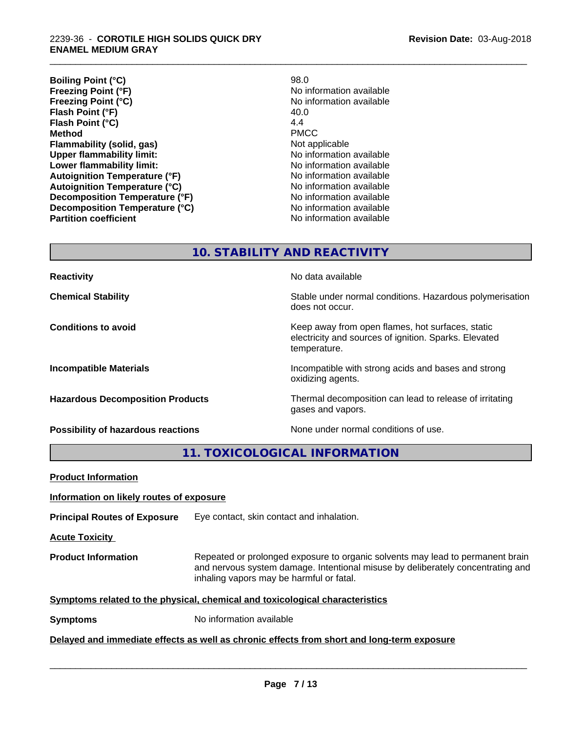**Boiling Point (°C)** 98.0<br> **Preezing Point (°F)** No in **Freezing Point (°F)**<br> **Freezing Point (°C)**<br> **Freezing Point (°C)**<br> **Reezing Point (°C)**<br> **Reezing Point (°C) Flash Point (°F)** 40.0<br> **Flash Point (°C)** 4.4 **Flash Point (°C)** 4.4<br> **Method** PMCC **Method** PMCC **Flammability (solid, gas)**<br> **Commability limit:**<br>
Under flammability limit:<br>
Under the Note information available **Upper flammability limit:**<br> **Lower flammability limit:** No information available<br>
No information available **Lower flammability limit: Autoignition Temperature (°F)** No information available **Autoignition Temperature (°C)** No information available **Decomposition Temperature (°F)** No information available **Decomposition Temperature (°C)** No information available

**No information available No information available** 

\_\_\_\_\_\_\_\_\_\_\_\_\_\_\_\_\_\_\_\_\_\_\_\_\_\_\_\_\_\_\_\_\_\_\_\_\_\_\_\_\_\_\_\_\_\_\_\_\_\_\_\_\_\_\_\_\_\_\_\_\_\_\_\_\_\_\_\_\_\_\_\_\_\_\_\_\_\_\_\_\_\_\_\_\_\_\_\_\_\_\_\_\_

**10. STABILITY AND REACTIVITY**

| <b>Reactivity</b>                         | No data available                                                                                                         |
|-------------------------------------------|---------------------------------------------------------------------------------------------------------------------------|
| <b>Chemical Stability</b>                 | Stable under normal conditions. Hazardous polymerisation<br>does not occur.                                               |
| <b>Conditions to avoid</b>                | Keep away from open flames, hot surfaces, static<br>electricity and sources of ignition. Sparks. Elevated<br>temperature. |
| <b>Incompatible Materials</b>             | Incompatible with strong acids and bases and strong<br>oxidizing agents.                                                  |
| <b>Hazardous Decomposition Products</b>   | Thermal decomposition can lead to release of irritating<br>gases and vapors.                                              |
| <b>Possibility of hazardous reactions</b> | None under normal conditions of use.                                                                                      |

**11. TOXICOLOGICAL INFORMATION**

| <b>Product Information</b>                                                                 |                                                                                                                                                                                                               |  |  |  |
|--------------------------------------------------------------------------------------------|---------------------------------------------------------------------------------------------------------------------------------------------------------------------------------------------------------------|--|--|--|
| Information on likely routes of exposure                                                   |                                                                                                                                                                                                               |  |  |  |
| <b>Principal Routes of Exposure</b>                                                        | Eye contact, skin contact and inhalation.                                                                                                                                                                     |  |  |  |
| <b>Acute Toxicity</b>                                                                      |                                                                                                                                                                                                               |  |  |  |
| <b>Product Information</b>                                                                 | Repeated or prolonged exposure to organic solvents may lead to permanent brain<br>and nervous system damage. Intentional misuse by deliberately concentrating and<br>inhaling vapors may be harmful or fatal. |  |  |  |
| Symptoms related to the physical, chemical and toxicological characteristics               |                                                                                                                                                                                                               |  |  |  |
| <b>Symptoms</b>                                                                            | No information available                                                                                                                                                                                      |  |  |  |
| Delayed and immediate effects as well as chronic effects from short and long-term exposure |                                                                                                                                                                                                               |  |  |  |
|                                                                                            |                                                                                                                                                                                                               |  |  |  |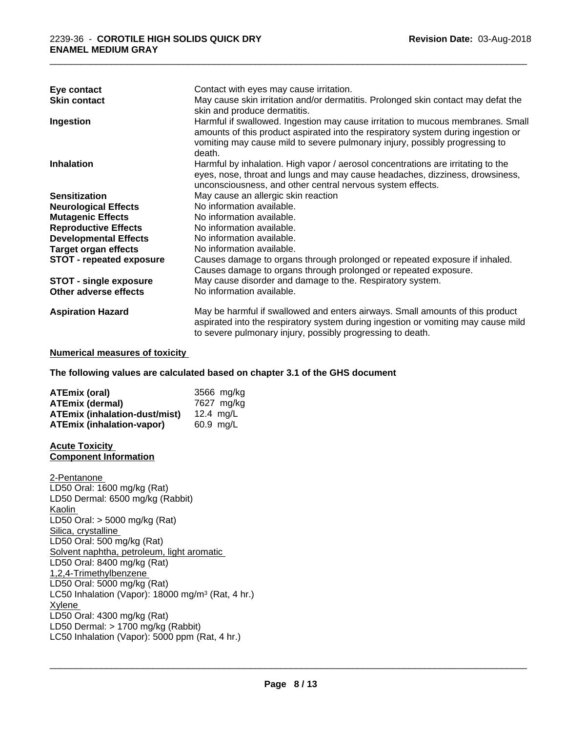| Eye contact                     | Contact with eyes may cause irritation.                                                                                                                                                                                                                       |
|---------------------------------|---------------------------------------------------------------------------------------------------------------------------------------------------------------------------------------------------------------------------------------------------------------|
| <b>Skin contact</b>             | May cause skin irritation and/or dermatitis. Prolonged skin contact may defat the<br>skin and produce dermatitis.                                                                                                                                             |
| Ingestion                       | Harmful if swallowed. Ingestion may cause irritation to mucous membranes. Small<br>amounts of this product aspirated into the respiratory system during ingestion or<br>vomiting may cause mild to severe pulmonary injury, possibly progressing to<br>death. |
| <b>Inhalation</b>               | Harmful by inhalation. High vapor / aerosol concentrations are irritating to the<br>eyes, nose, throat and lungs and may cause headaches, dizziness, drowsiness,<br>unconsciousness, and other central nervous system effects.                                |
| <b>Sensitization</b>            | May cause an allergic skin reaction                                                                                                                                                                                                                           |
| <b>Neurological Effects</b>     | No information available.                                                                                                                                                                                                                                     |
| <b>Mutagenic Effects</b>        | No information available.                                                                                                                                                                                                                                     |
| <b>Reproductive Effects</b>     | No information available.                                                                                                                                                                                                                                     |
| <b>Developmental Effects</b>    | No information available.                                                                                                                                                                                                                                     |
| <b>Target organ effects</b>     | No information available.                                                                                                                                                                                                                                     |
| <b>STOT - repeated exposure</b> | Causes damage to organs through prolonged or repeated exposure if inhaled.                                                                                                                                                                                    |
|                                 | Causes damage to organs through prolonged or repeated exposure.                                                                                                                                                                                               |
| <b>STOT - single exposure</b>   | May cause disorder and damage to the. Respiratory system.                                                                                                                                                                                                     |
| Other adverse effects           | No information available.                                                                                                                                                                                                                                     |
| <b>Aspiration Hazard</b>        | May be harmful if swallowed and enters airways. Small amounts of this product<br>aspirated into the respiratory system during ingestion or vomiting may cause mild<br>to severe pulmonary injury, possibly progressing to death.                              |

## **Numerical measures of toxicity**

**The following values are calculated based on chapter 3.1 of the GHS document**

| <b>ATEmix (oral)</b>                 | 3566 mg/ka  |
|--------------------------------------|-------------|
| <b>ATEmix (dermal)</b>               | 7627 mg/kg  |
| <b>ATEmix (inhalation-dust/mist)</b> | 12.4 $ma/L$ |
| <b>ATEmix (inhalation-vapor)</b>     | 60.9 ma/L   |

**Acute Toxicity Component Information**

2-Pentanone LD50 Oral: 1600 mg/kg (Rat) LD50 Dermal: 6500 mg/kg (Rabbit) Kaolin LD50 Oral: > 5000 mg/kg (Rat) Silica, crystalline LD50 Oral: 500 mg/kg (Rat) Solvent naphtha, petroleum, light aromatic LD50 Oral: 8400 mg/kg (Rat) 1,2,4-Trimethylbenzene LD50 Oral: 5000 mg/kg (Rat) LC50 Inhalation (Vapor): 18000 mg/m<sup>3</sup> (Rat, 4 hr.) Xylene LD50 Oral: 4300 mg/kg (Rat) LD50 Dermal:  $> 1700$  mg/kg (Rabbit) LC50 Inhalation (Vapor): 5000 ppm (Rat, 4 hr.)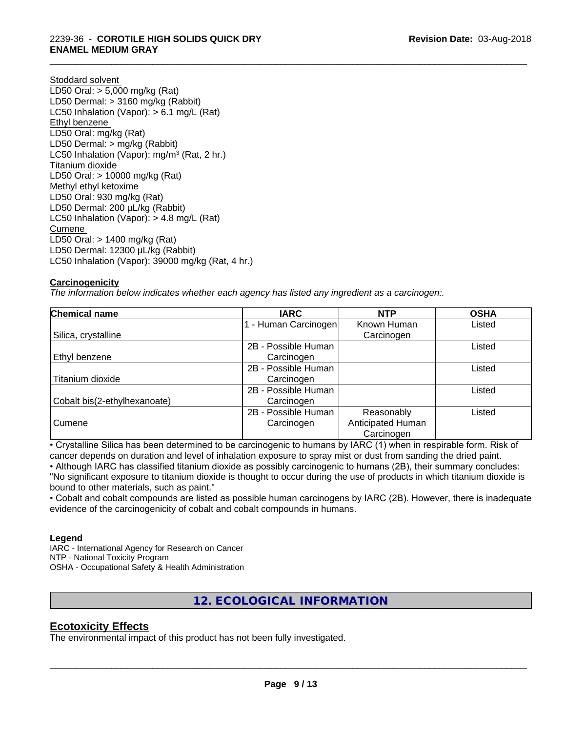## 2239-36 - **COROTILE HIGH SOLIDS QUICK DRY ENAMEL MEDIUM GRAY**

Stoddard solvent LD50 Oral: > 5,000 mg/kg (Rat) LD50 Dermal: > 3160 mg/kg (Rabbit) LC50 Inhalation (Vapor): > 6.1 mg/L (Rat) Ethyl benzene LD50 Oral: mg/kg (Rat) LD50 Dermal: > mg/kg (Rabbit) LC50 Inhalation (Vapor): mg/m<sup>3</sup> (Rat, 2 hr.) Titanium dioxide LD50 Oral: > 10000 mg/kg (Rat) Methyl ethyl ketoxime LD50 Oral: 930 mg/kg (Rat) LD50 Dermal: 200 µL/kg (Rabbit) LC50 Inhalation (Vapor): > 4.8 mg/L (Rat) Cumene LD50 Oral: > 1400 mg/kg (Rat) LD50 Dermal: 12300 µL/kg (Rabbit) LC50 Inhalation (Vapor): 39000 mg/kg (Rat, 4 hr.)

## **Carcinogenicity**

*The information below indicateswhether each agency has listed any ingredient as a carcinogen:.*

| <b>Chemical name</b>         | <b>IARC</b>         | <b>NTP</b>        | <b>OSHA</b> |
|------------------------------|---------------------|-------------------|-------------|
|                              | - Human Carcinogen  | Known Human       | Listed      |
| Silica, crystalline          |                     | Carcinogen        |             |
|                              | 2B - Possible Human |                   | Listed      |
| Ethyl benzene                | Carcinogen          |                   |             |
|                              | 2B - Possible Human |                   | Listed      |
| Titanium dioxide             | Carcinogen          |                   |             |
|                              | 2B - Possible Human |                   | Listed      |
| Cobalt bis(2-ethylhexanoate) | Carcinogen          |                   |             |
|                              | 2B - Possible Human | Reasonably        | Listed      |
| Cumene                       | Carcinogen          | Anticipated Human |             |
|                              |                     | Carcinogen        |             |

\_\_\_\_\_\_\_\_\_\_\_\_\_\_\_\_\_\_\_\_\_\_\_\_\_\_\_\_\_\_\_\_\_\_\_\_\_\_\_\_\_\_\_\_\_\_\_\_\_\_\_\_\_\_\_\_\_\_\_\_\_\_\_\_\_\_\_\_\_\_\_\_\_\_\_\_\_\_\_\_\_\_\_\_\_\_\_\_\_\_\_\_\_

• Crystalline Silica has been determined to be carcinogenic to humans by IARC (1) when in respirable form. Risk of cancer depends on duration and level of inhalation exposure to spray mist or dust from sanding the dried paint.

• Although IARC has classified titanium dioxide as possibly carcinogenic to humans (2B), their summary concludes: "No significant exposure to titanium dioxide is thought to occur during the use of products in which titanium dioxide is bound to other materials, such as paint."

• Cobalt and cobalt compounds are listed as possible human carcinogens by IARC (2B). However, there is inadequate evidence of the carcinogenicity of cobalt and cobalt compounds in humans.

## **Legend**

IARC - International Agency for Research on Cancer NTP - National Toxicity Program OSHA - Occupational Safety & Health Administration

## **12. ECOLOGICAL INFORMATION**

## **Ecotoxicity Effects**

The environmental impact of this product has not been fully investigated.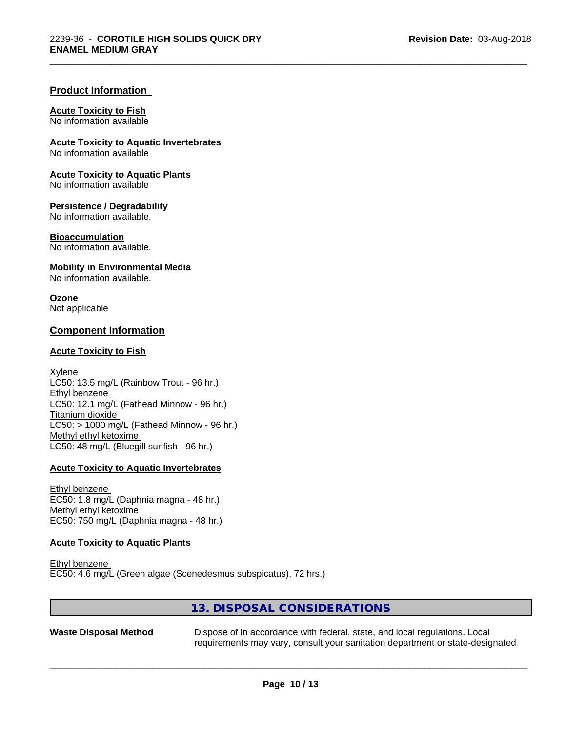## **Product Information**

#### **Acute Toxicity to Fish**

No information available

**Acute Toxicity to Aquatic Invertebrates**

No information available

**Acute Toxicity to Aquatic Plants**

No information available

#### **Persistence / Degradability**

No information available.

#### **Bioaccumulation**

No information available.

#### **Mobility in Environmental Media**

No information available.

**Ozone** Not applicable

## **Component Information**

#### **Acute Toxicity to Fish**

Xylene LC50: 13.5 mg/L (Rainbow Trout - 96 hr.) Ethyl benzene LC50: 12.1 mg/L (Fathead Minnow - 96 hr.) Titanium dioxide  $LC50:$  > 1000 mg/L (Fathead Minnow - 96 hr.) Methyl ethyl ketoxime LC50: 48 mg/L (Bluegill sunfish - 96 hr.)

#### **Acute Toxicity to Aquatic Invertebrates**

Ethyl benzene EC50: 1.8 mg/L (Daphnia magna - 48 hr.) Methyl ethyl ketoxime EC50: 750 mg/L (Daphnia magna - 48 hr.)

## **Acute Toxicity to Aquatic Plants**

Ethyl benzene EC50: 4.6 mg/L (Green algae (Scenedesmus subspicatus), 72 hrs.)

## **13. DISPOSAL CONSIDERATIONS**

**Waste Disposal Method** Dispose of in accordance with federal, state, and local regulations. Local requirements may vary, consult your sanitation department or state-designated

 $\overline{\phantom{a}}$  ,  $\overline{\phantom{a}}$  ,  $\overline{\phantom{a}}$  ,  $\overline{\phantom{a}}$  ,  $\overline{\phantom{a}}$  ,  $\overline{\phantom{a}}$  ,  $\overline{\phantom{a}}$  ,  $\overline{\phantom{a}}$  ,  $\overline{\phantom{a}}$  ,  $\overline{\phantom{a}}$  ,  $\overline{\phantom{a}}$  ,  $\overline{\phantom{a}}$  ,  $\overline{\phantom{a}}$  ,  $\overline{\phantom{a}}$  ,  $\overline{\phantom{a}}$  ,  $\overline{\phantom{a}}$ 

\_\_\_\_\_\_\_\_\_\_\_\_\_\_\_\_\_\_\_\_\_\_\_\_\_\_\_\_\_\_\_\_\_\_\_\_\_\_\_\_\_\_\_\_\_\_\_\_\_\_\_\_\_\_\_\_\_\_\_\_\_\_\_\_\_\_\_\_\_\_\_\_\_\_\_\_\_\_\_\_\_\_\_\_\_\_\_\_\_\_\_\_\_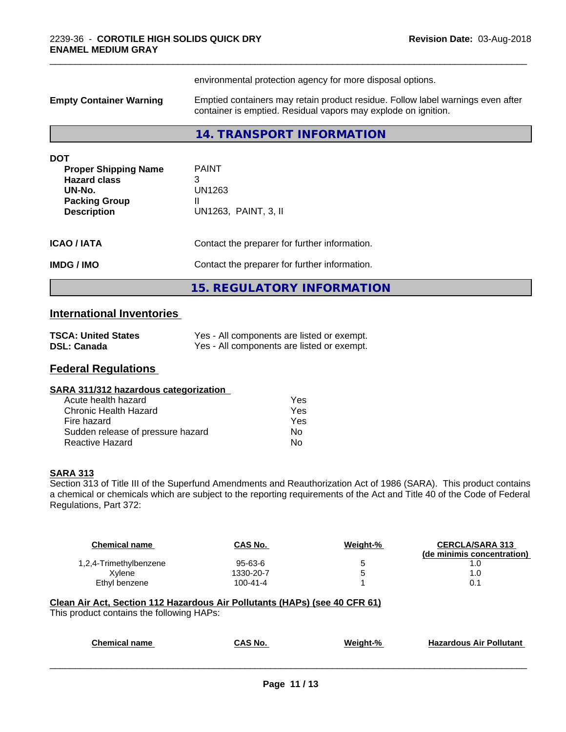|                                                                                                                          | environmental protection agency for more disposal options.                                                                                        |  |  |
|--------------------------------------------------------------------------------------------------------------------------|---------------------------------------------------------------------------------------------------------------------------------------------------|--|--|
| <b>Empty Container Warning</b>                                                                                           | Emptied containers may retain product residue. Follow label warnings even after<br>container is emptied. Residual vapors may explode on ignition. |  |  |
|                                                                                                                          | 14. TRANSPORT INFORMATION                                                                                                                         |  |  |
| <b>DOT</b><br><b>Proper Shipping Name</b><br><b>Hazard class</b><br>UN-No.<br><b>Packing Group</b><br><b>Description</b> | <b>PAINT</b><br>3<br>UN1263<br>Н.<br>UN1263, PAINT, 3, II                                                                                         |  |  |
| <b>ICAO / IATA</b>                                                                                                       | Contact the preparer for further information.                                                                                                     |  |  |
| <b>IMDG/IMO</b>                                                                                                          | Contact the preparer for further information.                                                                                                     |  |  |
|                                                                                                                          | <b>15. REGULATORY INFORMATION</b>                                                                                                                 |  |  |

## **International Inventories**

| <b>TSCA: United States</b> | Yes - All components are listed or exempt. |
|----------------------------|--------------------------------------------|
| <b>DSL: Canada</b>         | Yes - All components are listed or exempt. |

## **Federal Regulations**

| SARA 311/312 hazardous categorization |
|---------------------------------------|
|---------------------------------------|

| Acute health hazard               | Yes |
|-----------------------------------|-----|
| Chronic Health Hazard             | Yes |
| Fire hazard                       | Yes |
| Sudden release of pressure hazard | Nο  |
| Reactive Hazard                   | N٥  |

## **SARA 313**

Section 313 of Title III of the Superfund Amendments and Reauthorization Act of 1986 (SARA). This product contains a chemical or chemicals which are subject to the reporting requirements of the Act and Title 40 of the Code of Federal Regulations, Part 372:

| Chemical name          | CAS No.        | Weight-% | <b>CERCLA/SARA 313</b><br>(de minimis concentration) |
|------------------------|----------------|----------|------------------------------------------------------|
| 1,2,4-Trimethylbenzene | $95 - 63 - 6$  |          |                                                      |
| Xvlene                 | 1330-20-7      |          | 1.0                                                  |
| Ethyl benzene          | $100 - 41 - 4$ |          | 0.1                                                  |

# **Clean Air Act,Section 112 Hazardous Air Pollutants (HAPs) (see 40 CFR 61)**

This product contains the following HAPs:

| Chemical<br>name | CAS No. | Weight-% | Hazardous<br>: Air Pollutant |  |
|------------------|---------|----------|------------------------------|--|
|                  |         |          |                              |  |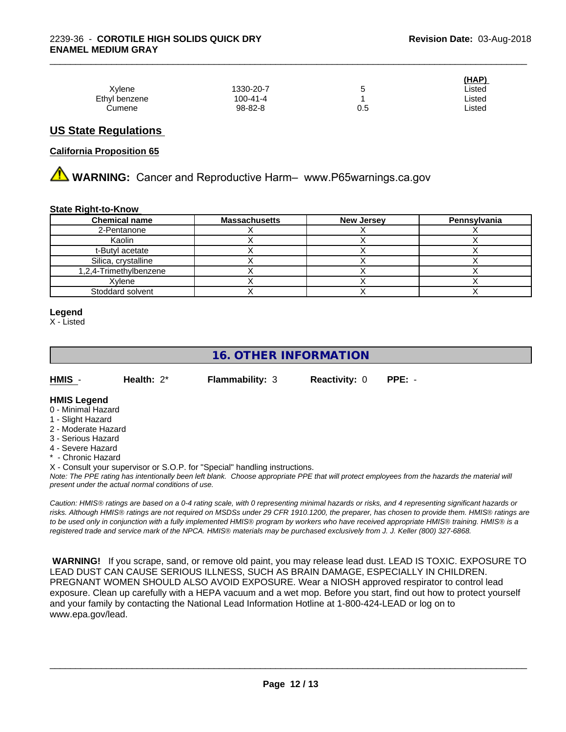|               |           |     | (HAP)  |  |
|---------------|-----------|-----|--------|--|
| Xylene        | 1330-20-7 | ັ   | ∟isted |  |
| Ethyl benzene | 100-41-4  |     | Listed |  |
| Cumene        | 98-82-8   | 0.5 | Listed |  |

## **US State Regulations**

#### **California Proposition 65**

**A WARNING:** Cancer and Reproductive Harm– www.P65warnings.ca.gov

#### **State Right-to-Know**

| <b>Chemical name</b>   | <b>Massachusetts</b> | <b>New Jersey</b> | Pennsylvania |
|------------------------|----------------------|-------------------|--------------|
| 2-Pentanone            |                      |                   |              |
| Kaolin                 |                      |                   |              |
| t-Butyl acetate        |                      |                   |              |
| Silica, crystalline    |                      |                   |              |
| 1,2,4-Trimethylbenzene |                      |                   |              |
| Xvlene                 |                      |                   |              |
| Stoddard solvent       |                      |                   |              |

#### **Legend**

X - Listed

## **16. OTHER INFORMATION**

|  | HMIS | Health: $2^*$ | <b>Flammability: 3</b> | <b>Reactivity: 0</b> | PPE: - |  |
|--|------|---------------|------------------------|----------------------|--------|--|
|--|------|---------------|------------------------|----------------------|--------|--|

## **HMIS Legend**

- 0 Minimal Hazard
- 1 Slight Hazard
- 2 Moderate Hazard
- 3 Serious Hazard
- 4 Severe Hazard
- Chronic Hazard
- X Consult your supervisor or S.O.P. for "Special" handling instructions.

*Note: The PPE rating has intentionally been left blank. Choose appropriate PPE that will protect employees from the hazards the material will present under the actual normal conditions of use.*

*Caution: HMISÒ ratings are based on a 0-4 rating scale, with 0 representing minimal hazards or risks, and 4 representing significant hazards or risks. Although HMISÒ ratings are not required on MSDSs under 29 CFR 1910.1200, the preparer, has chosen to provide them. HMISÒ ratings are to be used only in conjunction with a fully implemented HMISÒ program by workers who have received appropriate HMISÒ training. HMISÒ is a registered trade and service mark of the NPCA. HMISÒ materials may be purchased exclusively from J. J. Keller (800) 327-6868.*

 **WARNING!** If you scrape, sand, or remove old paint, you may release lead dust. LEAD IS TOXIC. EXPOSURE TO LEAD DUST CAN CAUSE SERIOUS ILLNESS, SUCH AS BRAIN DAMAGE, ESPECIALLY IN CHILDREN. PREGNANT WOMEN SHOULD ALSO AVOID EXPOSURE.Wear a NIOSH approved respirator to control lead exposure. Clean up carefully with a HEPA vacuum and a wet mop. Before you start, find out how to protect yourself and your family by contacting the National Lead Information Hotline at 1-800-424-LEAD or log on to www.epa.gov/lead.